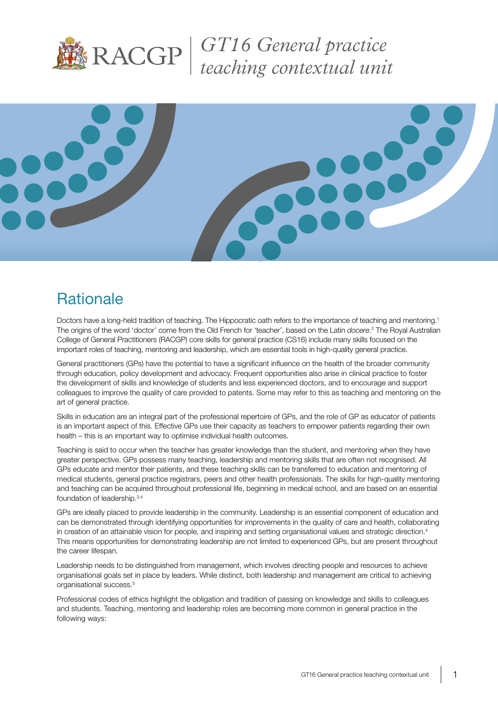

*GT16 General practice teaching contextual unit*



# **Rationale**

Doctors have a long-held tradition of teaching. The Hippocratic oath refers to the importance of teaching and mentoring.1 The origins of the word 'doctor' come from the Old French for 'teacher', based on the Latin *docere*.<sup>2</sup> The Royal Australian College of General Practitioners (RACGP) core skills for general practice (CS16) include many skills focused on the important roles of teaching, mentoring and leadership, which are essential tools in high-quality general practice.

General practitioners (GPs) have the potential to have a significant influence on the health of the broader community through education, policy development and advocacy. Frequent opportunities also arise in clinical practice to foster the development of skills and knowledge of students and less experienced doctors, and to encourage and support colleagues to improve the quality of care provided to patents. Some may refer to this as teaching and mentoring on the art of general practice.

Skills in education are an integral part of the professional repertoire of GPs, and the role of GP as educator of patients is an important aspect of this. Effective GPs use their capacity as teachers to empower patients regarding their own health – this is an important way to optimise individual health outcomes.

Teaching is said to occur when the teacher has greater knowledge than the student, and mentoring when they have greater perspective. GPs possess many teaching, leadership and mentoring skills that are often not recognised. All GPs educate and mentor their patients, and these teaching skills can be transferred to education and mentoring of medical students, general practice registrars, peers and other health professionals. The skills for high-quality mentoring and teaching can be acquired throughout professional life, beginning in medical school, and are based on an essential foundation of leadership.<sup>3,4</sup>

GPs are ideally placed to provide leadership in the community. Leadership is an essential component of education and can be demonstrated through identifying opportunities for improvements in the quality of care and health, collaborating in creation of an attainable vision for people, and inspiring and setting organisational values and strategic direction.<sup>4</sup> This means opportunities for demonstrating leadership are not limited to experienced GPs, but are present throughout the career lifespan.

Leadership needs to be distinguished from management, which involves directing people and resources to achieve organisational goals set in place by leaders. While distinct, both leadership and management are critical to achieving organisational success.<sup>5</sup>

Professional codes of ethics highlight the obligation and tradition of passing on knowledge and skills to colleagues and students. Teaching, mentoring and leadership roles are becoming more common in general practice in the following ways: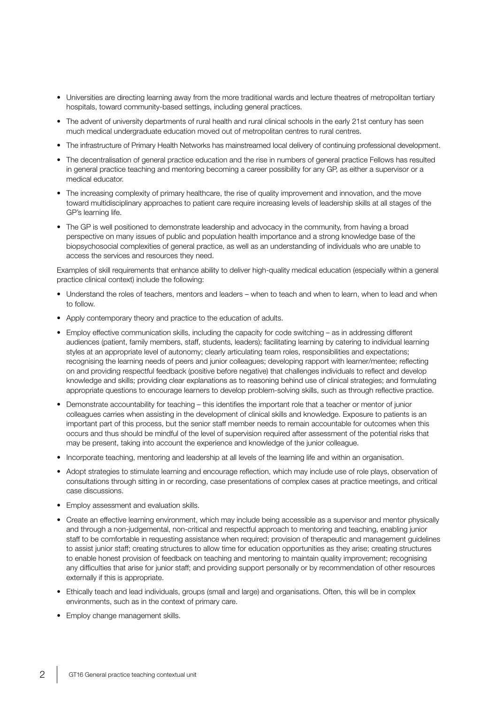- Universities are directing learning away from the more traditional wards and lecture theatres of metropolitan tertiary hospitals, toward community-based settings, including general practices.
- The advent of university departments of rural health and rural clinical schools in the early 21st century has seen much medical undergraduate education moved out of metropolitan centres to rural centres.
- The infrastructure of Primary Health Networks has mainstreamed local delivery of continuing professional development.
- The decentralisation of general practice education and the rise in numbers of general practice Fellows has resulted in general practice teaching and mentoring becoming a career possibility for any GP, as either a supervisor or a medical educator.
- The increasing complexity of primary healthcare, the rise of quality improvement and innovation, and the move toward multidisciplinary approaches to patient care require increasing levels of leadership skills at all stages of the GP's learning life.
- The GP is well positioned to demonstrate leadership and advocacy in the community, from having a broad perspective on many issues of public and population health importance and a strong knowledge base of the biopsychosocial complexities of general practice, as well as an understanding of individuals who are unable to access the services and resources they need.

Examples of skill requirements that enhance ability to deliver high-quality medical education (especially within a general practice clinical context) include the following:

- Understand the roles of teachers, mentors and leaders when to teach and when to learn, when to lead and when to follow.
- Apply contemporary theory and practice to the education of adults.
- Employ effective communication skills, including the capacity for code switching as in addressing different audiences (patient, family members, staff, students, leaders); facilitating learning by catering to individual learning styles at an appropriate level of autonomy; clearly articulating team roles, responsibilities and expectations; recognising the learning needs of peers and junior colleagues; developing rapport with learner/mentee; reflecting on and providing respectful feedback (positive before negative) that challenges individuals to reflect and develop knowledge and skills; providing clear explanations as to reasoning behind use of clinical strategies; and formulating appropriate questions to encourage learners to develop problem-solving skills, such as through reflective practice.
- Demonstrate accountability for teaching this identifies the important role that a teacher or mentor of junior colleagues carries when assisting in the development of clinical skills and knowledge. Exposure to patients is an important part of this process, but the senior staff member needs to remain accountable for outcomes when this occurs and thus should be mindful of the level of supervision required after assessment of the potential risks that may be present, taking into account the experience and knowledge of the junior colleague.
- Incorporate teaching, mentoring and leadership at all levels of the learning life and within an organisation.
- Adopt strategies to stimulate learning and encourage reflection, which may include use of role plays, observation of consultations through sitting in or recording, case presentations of complex cases at practice meetings, and critical case discussions.
- Employ assessment and evaluation skills.
- Create an effective learning environment, which may include being accessible as a supervisor and mentor physically and through a non-judgemental, non-critical and respectful approach to mentoring and teaching, enabling junior staff to be comfortable in requesting assistance when required; provision of therapeutic and management guidelines to assist junior staff; creating structures to allow time for education opportunities as they arise; creating structures to enable honest provision of feedback on teaching and mentoring to maintain quality improvement; recognising any difficulties that arise for junior staff; and providing support personally or by recommendation of other resources externally if this is appropriate.
- Ethically teach and lead individuals, groups (small and large) and organisations. Often, this will be in complex environments, such as in the context of primary care.
- Employ change management skills.